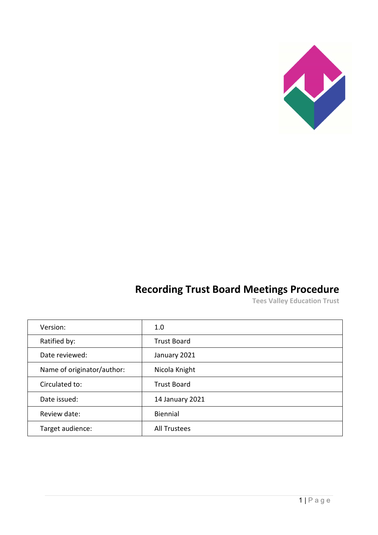

# **Recording Trust Board Meetings Procedure**

**Tees Valley Education Trust**

| Version:                   | 1.0                 |
|----------------------------|---------------------|
| Ratified by:               | <b>Trust Board</b>  |
| Date reviewed:             | January 2021        |
| Name of originator/author: | Nicola Knight       |
| Circulated to:             | <b>Trust Board</b>  |
| Date issued:               | 14 January 2021     |
| Review date:               | Biennial            |
| Target audience:           | <b>All Trustees</b> |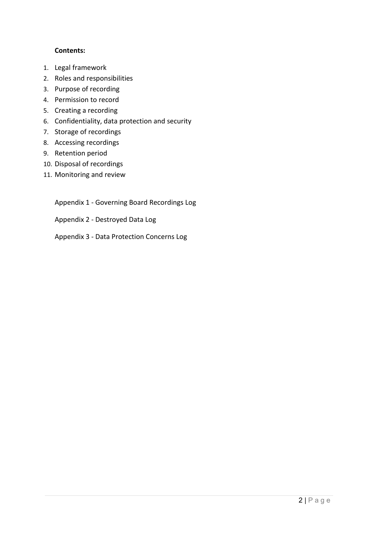### **Contents:**

- 1. Legal framework
- 2. [Roles and responsibilities](#page-2-0)
- 3. [Purpose of recording](#page-3-0)
- 4. [Permission to record](#page-3-1)
- 5. [Creating a recording](#page-4-0)
- 6. [Confidentiality, data protection and security](#page-4-1)
- 7. [Storage of recordings](#page-5-0)
- 8. [Accessing recordings](#page-5-1)
- 9. [Retention period](#page-6-0)
- 10. [Disposal of recordings](#page-6-1)
- 11. [Monitoring and review](#page-6-2)

Appendix 1 - [Governing Board Recordings Log](#page-7-0)

Appendix 2 - [Destroyed Data Log](#page-8-0)

Appendix 3 - [Data Protection Concerns Log](#page-9-0)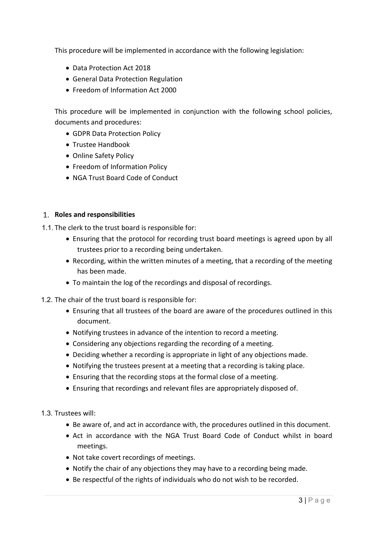This procedure will be implemented in accordance with the following legislation:

- Data Protection Act 2018
- General Data Protection Regulation
- Freedom of Information Act 2000

This procedure will be implemented in conjunction with the following school policies, documents and procedures:

- GDPR Data Protection Policy
- Trustee Handbook
- Online Safety Policy
- Freedom of Information Policy
- NGA Trust Board Code of Conduct

#### <span id="page-2-0"></span>**Roles and responsibilities**

1.1. The clerk to the trust board is responsible for:

- Ensuring that the protocol for recording trust board meetings is agreed upon by all trustees prior to a recording being undertaken.
- Recording, within the written minutes of a meeting, that a recording of the meeting has been made.
- To maintain the log of the recordings and disposal of recordings.
- 1.2. The chair of the trust board is responsible for:
	- Ensuring that all trustees of the board are aware of the procedures outlined in this document.
	- Notifying trustees in advance of the intention to record a meeting.
	- Considering any objections regarding the recording of a meeting.
	- Deciding whether a recording is appropriate in light of any objections made.
	- Notifying the trustees present at a meeting that a recording is taking place.
	- Ensuring that the recording stops at the formal close of a meeting.
	- Ensuring that recordings and relevant files are appropriately disposed of.

1.3. Trustees will:

- Be aware of, and act in accordance with, the procedures outlined in this document.
- Act in accordance with the NGA Trust Board Code of Conduct whilst in board meetings.
- Not take covert recordings of meetings.
- Notify the chair of any objections they may have to a recording being made.
- Be respectful of the rights of individuals who do not wish to be recorded.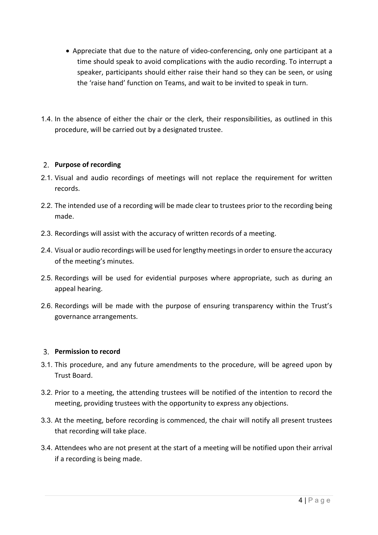- Appreciate that due to the nature of video-conferencing, only one participant at a time should speak to avoid complications with the audio recording. To interrupt a speaker, participants should either raise their hand so they can be seen, or using the 'raise hand' function on Teams, and wait to be invited to speak in turn.
- 1.4. In the absence of either the chair or the clerk, their responsibilities, as outlined in this procedure, will be carried out by a designated trustee.

### <span id="page-3-0"></span>**Purpose of recording**

- 2.1. Visual and audio recordings of meetings will not replace the requirement for written records.
- 2.2. The intended use of a recording will be made clear to trustees prior to the recording being made.
- 2.3. Recordings will assist with the accuracy of written records of a meeting.
- 2.4. Visual or audio recordings will be used for lengthy meetings in order to ensure the accuracy of the meeting's minutes.
- 2.5. Recordings will be used for evidential purposes where appropriate, such as during an appeal hearing.
- 2.6. Recordings will be made with the purpose of ensuring transparency within the Trust's governance arrangements.

### <span id="page-3-1"></span>**Permission to record**

- 3.1. This procedure, and any future amendments to the procedure, will be agreed upon by Trust Board.
- 3.2. Prior to a meeting, the attending trustees will be notified of the intention to record the meeting, providing trustees with the opportunity to express any objections.
- 3.3. At the meeting, before recording is commenced, the chair will notify all present trustees that recording will take place.
- 3.4. Attendees who are not present at the start of a meeting will be notified upon their arrival if a recording is being made.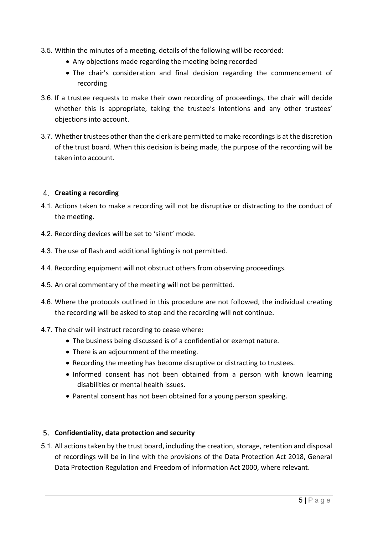- 3.5. Within the minutes of a meeting, details of the following will be recorded:
	- Any objections made regarding the meeting being recorded
	- The chair's consideration and final decision regarding the commencement of recording
- 3.6. If a trustee requests to make their own recording of proceedings, the chair will decide whether this is appropriate, taking the trustee's intentions and any other trustees' objections into account.
- 3.7. Whether trustees other than the clerk are permitted to make recordings is at the discretion of the trust board. When this decision is being made, the purpose of the recording will be taken into account.

### <span id="page-4-0"></span>**Creating a recording**

- 4.1. Actions taken to make a recording will not be disruptive or distracting to the conduct of the meeting.
- 4.2. Recording devices will be set to 'silent' mode.
- 4.3. The use of flash and additional lighting is not permitted.
- 4.4. Recording equipment will not obstruct others from observing proceedings.
- 4.5. An oral commentary of the meeting will not be permitted.
- 4.6. Where the protocols outlined in this procedure are not followed, the individual creating the recording will be asked to stop and the recording will not continue.
- 4.7. The chair will instruct recording to cease where:
	- The business being discussed is of a confidential or exempt nature.
	- There is an adjournment of the meeting.
	- Recording the meeting has become disruptive or distracting to trustees.
	- Informed consent has not been obtained from a person with known learning disabilities or mental health issues.
	- Parental consent has not been obtained for a young person speaking.

### <span id="page-4-1"></span>**Confidentiality, data protection and security**

5.1. All actions taken by the trust board, including the creation, storage, retention and disposal of recordings will be in line with the provisions of the Data Protection Act 2018, General Data Protection Regulation and Freedom of Information Act 2000, where relevant.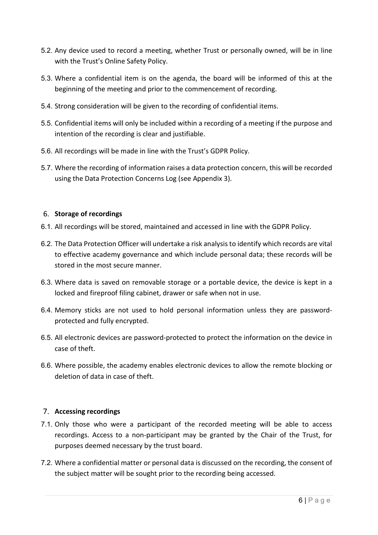- 5.2. Any device used to record a meeting, whether Trust or personally owned, will be in line with the Trust's Online Safety Policy.
- 5.3. Where a confidential item is on the agenda, the board will be informed of this at the beginning of the meeting and prior to the commencement of recording.
- 5.4. Strong consideration will be given to the recording of confidential items.
- 5.5. Confidential items will only be included within a recording of a meeting if the purpose and intention of the recording is clear and justifiable.
- 5.6. All recordings will be made in line with the Trust's GDPR Policy.
- 5.7. Where the recording of information raises a data protection concern, this will be recorded using the Data Protection Concerns Log (see Appendix 3).

### <span id="page-5-0"></span>**Storage of recordings**

- 6.1. All recordings will be stored, maintained and accessed in line with the GDPR Policy.
- 6.2. The Data Protection Officer will undertake a risk analysis to identify which records are vital to effective academy governance and which include personal data; these records will be stored in the most secure manner.
- 6.3. Where data is saved on removable storage or a portable device, the device is kept in a locked and fireproof filing cabinet, drawer or safe when not in use.
- 6.4. Memory sticks are not used to hold personal information unless they are passwordprotected and fully encrypted.
- 6.5. All electronic devices are password-protected to protect the information on the device in case of theft.
- 6.6. Where possible, the academy enables electronic devices to allow the remote blocking or deletion of data in case of theft.

### <span id="page-5-1"></span>**Accessing recordings**

- 7.1. Only those who were a participant of the recorded meeting will be able to access recordings. Access to a non-participant may be granted by the Chair of the Trust, for purposes deemed necessary by the trust board.
- 7.2. Where a confidential matter or personal data is discussed on the recording, the consent of the subject matter will be sought prior to the recording being accessed.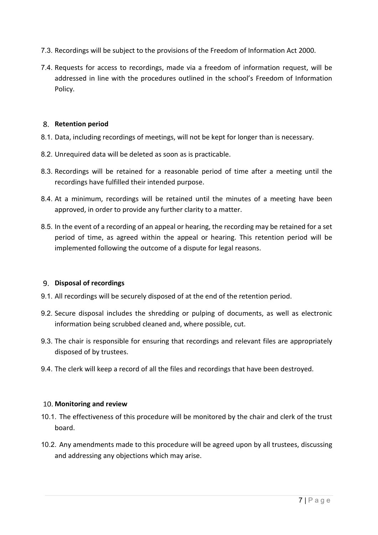- 7.3. Recordings will be subject to the provisions of the Freedom of Information Act 2000.
- 7.4. Requests for access to recordings, made via a freedom of information request, will be addressed in line with the procedures outlined in the school's Freedom of Information Policy.

#### <span id="page-6-0"></span>**Retention period**

- 8.1. Data, including recordings of meetings, will not be kept for longer than is necessary.
- 8.2. Unrequired data will be deleted as soon as is practicable.
- 8.3. Recordings will be retained for a reasonable period of time after a meeting until the recordings have fulfilled their intended purpose.
- 8.4. At a minimum, recordings will be retained until the minutes of a meeting have been approved, in order to provide any further clarity to a matter.
- 8.5. In the event of a recording of an appeal or hearing, the recording may be retained for a set period of time, as agreed within the appeal or hearing. This retention period will be implemented following the outcome of a dispute for legal reasons.

### <span id="page-6-1"></span>**Disposal of recordings**

- 9.1. All recordings will be securely disposed of at the end of the retention period.
- 9.2. Secure disposal includes the shredding or pulping of documents, as well as electronic information being scrubbed cleaned and, where possible, cut.
- 9.3. The chair is responsible for ensuring that recordings and relevant files are appropriately disposed of by trustees.
- 9.4. The clerk will keep a record of all the files and recordings that have been destroyed.

#### <span id="page-6-2"></span>**Monitoring and review**

- 10.1. The effectiveness of this procedure will be monitored by the chair and clerk of the trust board.
- 10.2. Any amendments made to this procedure will be agreed upon by all trustees, discussing and addressing any objections which may arise.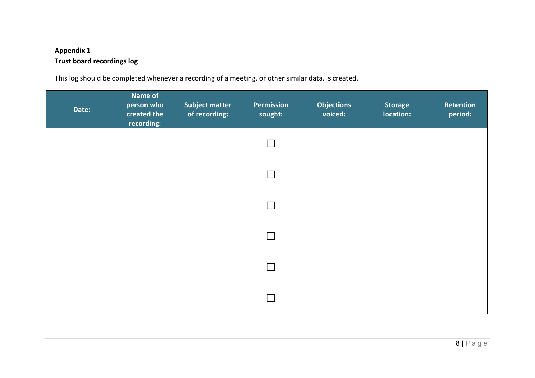## **Appendix 1 Trust board recordings log**

This log should be completed whenever a recording of a meeting, or other similar data, is created.

<span id="page-7-0"></span>

| Date: | Name of<br>person who<br>created the<br>recording: | <b>Subject matter</b><br>of recording: | Permission<br>sought: | <b>Objections</b><br>voiced: | <b>Storage</b><br>location: | Retention<br>period: |
|-------|----------------------------------------------------|----------------------------------------|-----------------------|------------------------------|-----------------------------|----------------------|
|       |                                                    |                                        |                       |                              |                             |                      |
|       |                                                    |                                        |                       |                              |                             |                      |
|       |                                                    |                                        |                       |                              |                             |                      |
|       |                                                    |                                        |                       |                              |                             |                      |
|       |                                                    |                                        |                       |                              |                             |                      |
|       |                                                    |                                        |                       |                              |                             |                      |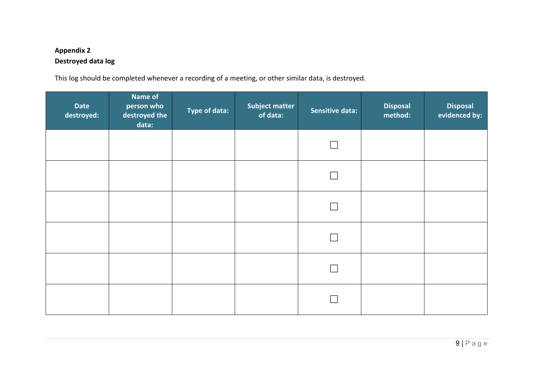# **Appendix 2 Destroyed data log**

This log should be completed whenever a recording of a meeting, or other similar data, is destroyed.

<span id="page-8-0"></span>

| <b>Date</b><br>destroyed: | <b>Name of</b><br>person who<br>destroyed the<br>data: | Type of data: | <b>Subject matter</b><br>of data: | <b>Sensitive data:</b> | <b>Disposal</b><br>method: | <b>Disposal</b><br>evidenced by: |
|---------------------------|--------------------------------------------------------|---------------|-----------------------------------|------------------------|----------------------------|----------------------------------|
|                           |                                                        |               |                                   |                        |                            |                                  |
|                           |                                                        |               |                                   |                        |                            |                                  |
|                           |                                                        |               |                                   |                        |                            |                                  |
|                           |                                                        |               |                                   |                        |                            |                                  |
|                           |                                                        |               |                                   |                        |                            |                                  |
|                           |                                                        |               |                                   |                        |                            |                                  |